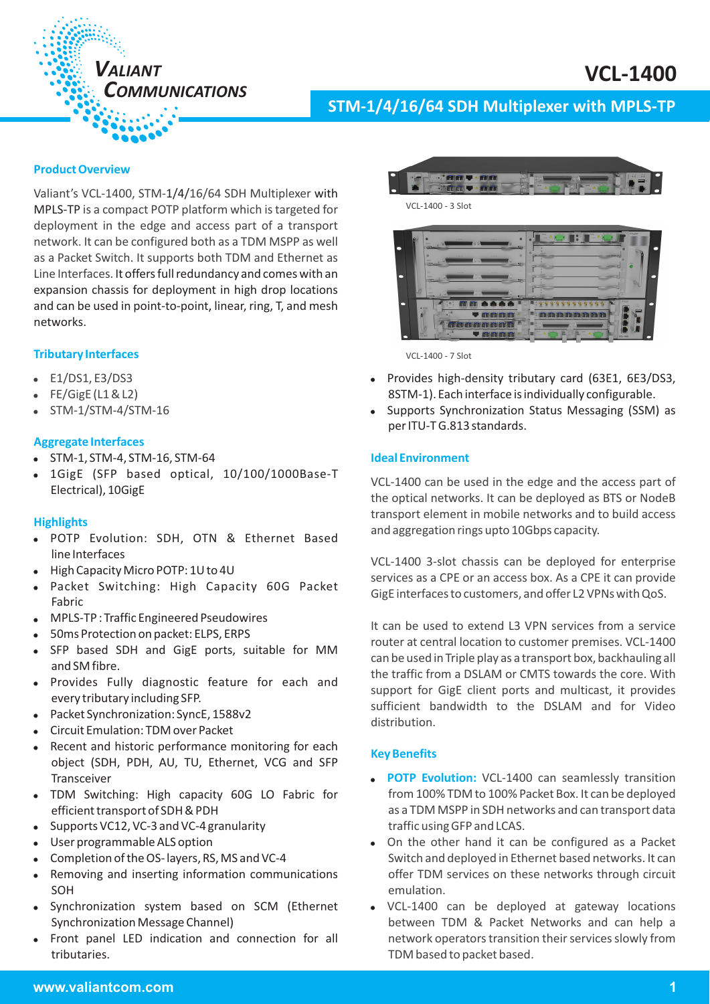

# **STM-1/4/16/64 SDH Multiplexer with MPLS-TP**

# **Product Overview**

Valiant's VCL-1400, STM-1/4/16/64 SDH Multiplexer with MPLS-TP is a compact POTP platform which is targeted for deployment in the edge and access part of a transport network. It can be configured both as a TDM MSPP as well as a Packet Switch. It supports both TDM and Ethernet as Line Interfaces. It offers full redundancy and comes with an expansion chassis for deployment in high drop locations and can be used in point-to-point, linear, ring, T, and mesh networks.

#### **Tributary Interfaces**

- $\bullet$ E1/DS1, E3/DS3
- FE/GigE (L1 & L2)
- -STM-1/STM-4/STM-16

#### **Aggregate Interfaces**

- STM-1, STM-4, STM-16, STM-64
- 1GigE (SFP based optical, 10/100/1000Base-T Electrical), 10GigE

#### **Highlights**

- . POTP Evolution: SDH, OTN & Ethernet Based line Interfaces
- . High Capacity Micro POTP: 1U to 4U
- Packet Switching: High Capacity 60G Packet Fabric -
- MPLS-TP : Traffic Engineered Pseudowires -
- 50ms Protection on packet: ELPS, ERPS -
- SFP based SDH and GigE ports, suitable for MM and SM fibre.
- Provides Fully diagnostic feature for each and every tributary including SFP. -
- Packet Synchronization: SyncE, 1588v2 -
- Circuit Emulation: TDM over Packet -
- Recent and historic performance monitoring for each object (SDH, PDH, AU, TU, Ethernet, VCG and SFP Transceiver -
- TDM Switching: High capacity 60G LO Fabric for efficient transport of SDH & PDH
- Supports VC12, VC-3 and VC-4 granularity -
- User programmable ALS option -
- Completion of the OS- layers, RS, MS and VC-4 -
- Removing and inserting information communications SOH -
- Synchronization system based on SCM (Ethernet Synchronization Message Channel) -
- $\bullet$ Front panel LED indication and connection for all tributaries.





VCL-1400 - 7 Slot

- Provides high-density tributary card (63E1, 6E3/DS3, 8STM-1). Each interface is individually configurable.
- Supports Synchronization Status Messaging (SSM) as per ITU-T G.813 standards.

#### **Ideal Environment**

VCL-1400 can be used in the edge and the access part of the optical networks. It can be deployed as BTS or NodeB transport element in mobile networks and to build access and aggregation rings upto 10Gbps capacity.

VCL-1400 3-slot chassis can be deployed for enterprise services as a CPE or an access box. As a CPE it can provide GigE interfaces to customers, and offer L2 VPNs with QoS.

It can be used to extend L3 VPN services from a service router at central location to customer premises. VCL-1400 can be used in Triple play as a transport box, backhauling all the traffic from a DSLAM or CMTS towards the core. With support for GigE client ports and multicast, it provides sufficient bandwidth to the DSLAM and for Video distribution.

#### **Key Benefits**

- **POTP Evolution:** VCL-1400 can seamlessly transition  from 100% TDM to 100% Packet Box. It can be deployed as a TDM MSPP in SDH networks and can transport data traffic using GFP and LCAS.
- On the other hand it can be configured as a Packet Switch and deployed in Ethernet based networks. It can offer TDM services on these networks through circuit emulation.
- VCL-1400 can be deployed at gateway locations between TDM & Packet Networks and can help a network operators transition their services slowly from TDM based to packet based.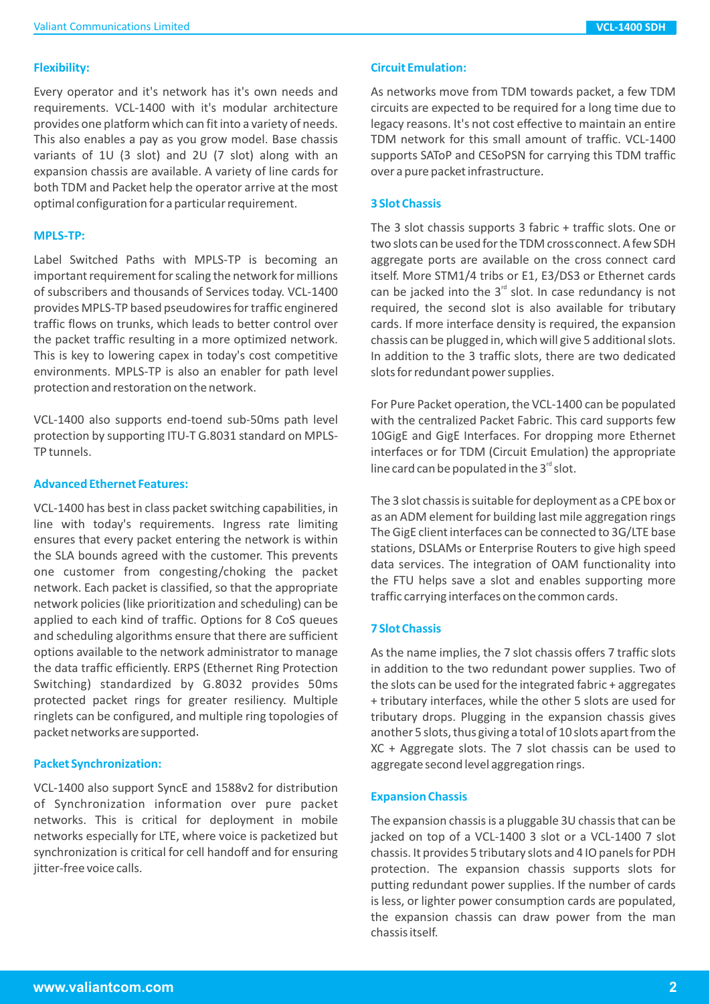### **Flexibility:**

Every operator and it's network has it's own needs and requirements. VCL-1400 with it's modular architecture provides one platform which can fit into a variety of needs. This also enables a pay as you grow model. Base chassis variants of 1U (3 slot) and 2U (7 slot) along with an expansion chassis are available. A variety of line cards for both TDM and Packet help the operator arrive at the most optimal configuration for a particular requirement.

#### **MPLS-TP:**

Label Switched Paths with MPLS-TP is becoming an important requirement for scaling the network for millions of subscribers and thousands of Services today. VCL-1400 provides MPLS-TP based pseudowires for traffic enginered traffic flows on trunks, which leads to better control over the packet traffic resulting in a more optimized network. This is key to lowering capex in today's cost competitive environments. MPLS-TP is also an enabler for path level protection and restoration on the network.

VCL-1400 also supports end-toend sub-50ms path level protection by supporting ITU-T G.8031 standard on MPLS-TP tunnels.

### **Advanced Ethernet Features:**

VCL-1400 has best in class packet switching capabilities, in line with today's requirements. Ingress rate limiting ensures that every packet entering the network is within the SLA bounds agreed with the customer. This prevents one customer from congesting/choking the packet network. Each packet is classified, so that the appropriate network policies (like prioritization and scheduling) can be applied to each kind of traffic. Options for 8 CoS queues and scheduling algorithms ensure that there are sufficient options available to the network administrator to manage the data traffic efficiently. ERPS (Ethernet Ring Protection Switching) standardized by G.8032 provides 50ms protected packet rings for greater resiliency. Multiple ringlets can be configured, and multiple ring topologies of packet networks are supported .

#### **Packet Synchronization:**

VCL-1400 also support SyncE and 1588v2 for distribution of Synchronization information over pure packet networks. This is critical for deployment in mobile networks especially for LTE, where voice is packetized but synchronization is critical for cell handoff and for ensuring jitter-free voice calls.

### **Circuit Emulation:**

As networks move from TDM towards packet, a few TDM circuits are expected to be required for a long time due to legacy reasons. It's not cost effective to maintain an entire TDM network for this small amount of traffic. VCL-1400 supports SAToP and CESoPSN for carrying this TDM traffic over a pure packet infrastructure .

### **3 Slot Chassis**

The 3 slot chassis supports 3 fabric + traffic slots. One or two slots can be used for the TDM crossconnect. A few SDH aggregate ports are available on the cross connect card itself. More STM1/4 tribs or E1, E3/DS3 or Ethernet cards can be jacked into the  $3<sup>rd</sup>$  slot. In case redundancy is not required, the second slot is also available for tributary cards. If more interface density is required, the expansion chassis can be plugged in, which will give 5 additional slots. In addition to the 3 traffic slots, there are two dedicated slots for redundant power supplies.

For Pure Packet operation, the VCL-1400 can be populated with the centralized Packet Fabric. This card supports few 10GigE and GigE Interfaces. For dropping more Ethernet interfaces or for TDM (Circuit Emulation) the appropriate line card can be populated in the  $3<sup>rd</sup>$  slot.

The 3 slot chassis is suitable for deployment as a CPE box or as an ADM element for building last mile aggregation rings The GigE client interfaces can be connected to 3G/LTE base stations, DSLAMs or Enterprise Routers to give high speed data services. The integration of OAM functionality into the FTU helps save a slot and enables supporting more traffic carrying interfaces on the common cards.

# **7 Slot Chassis**

As the name implies, the 7 slot chassis offers 7 traffic slots in addition to the two redundant power supplies. Two of the slots can be used for the integrated fabric + aggregates + tributary interfaces, while the other 5 slots are used for tributary drops. Plugging in the expansion chassis gives another 5 slots, thus giving a total of 10 slots apart from the XC + Aggregate slots. The 7 slot chassis can be used to aggregate second level aggregation rings.

# **Expansion Chassis**

The expansion chassis is a pluggable 3U chassis that can be jacked on top of a VCL-1400 3 slot or a VCL-1400 7 slot chassis. It provides 5 tributary slots and 4 IO panels for PDH protection. The expansion chassis supports slots for putting redundant power supplies. If the number of cards is less, or lighter power consumption cards are populated, the expansion chassis can draw power from the man chassis itself.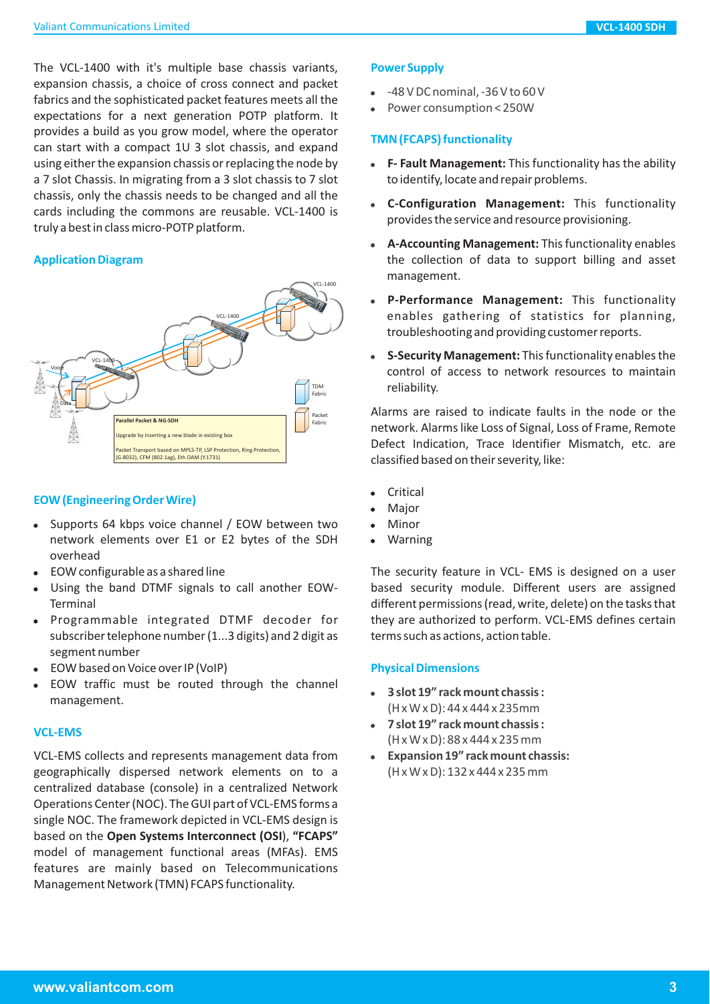The VCL-1400 with it's multiple base chassis variants, expansion chassis, a choice of cross connect and packet fabrics and the sophisticated packet features meets all the expectations for a next generation POTP platform. It provides a build as you grow model, where the operator can start with a compact 1U 3 slot chassis, and expand using either the expansion chassis or replacing the node by a 7 slot Chassis. In migrating from a 3 slot chassis to 7 slot chassis, only the chassis needs to be changed and all the cards including the commons are reusable. VCL-1400 is truly a best in class micro-POTP platform.

# **Application Diagram**



# **EOW (Engineering Order Wire)**

- Supports 64 kbps voice channel / EOW between two network elements over E1 or E2 bytes of the SDH overhead
- EOW configurable as a shared line
- Using the band DTMF signals to call another EOW-Terminal -
- Programmable integrated DTMF decoder for subscriber telephone number (1...3 digits) and 2 digit as segment number
- EOW based on Voice over IP (VoIP)
- EOW traffic must be routed through the channel management.

# **VCL-EMS**

VCL-EMS collects and represents management data from geographically dispersed network elements on to a centralized database (console) in a centralized Network Operations Center (NOC). The GUI part of VCL-EMS forms a single NOC. The framework depicted in VCL-EMS design is based on the Open Systems Interconnect (OSI), "FCAPS" model of management functional areas (MFAs). EMS features are mainly based on Telecommunications Management Network (TMN) FCAPS functionality.

# **Power Supply**

- -48 V DC nominal, -36 V to 60 V -
- Power consumption < 250W -

# **TMN (FCAPS) functionality**

- **F- Fault Management:** This functionality has the ability to identify, locate and repair problems.
- **C-Configuration Management:** This functionality provides the service and resource provisioning.
- **A-Accounting Management:** This functionality enables the collection of data to support billing and asset management.
- P-Performance Management: This functionality enables gathering of statistics for planning, troubleshooting and providing customer reports. -
- **S-Security Management:** This functionality enables the control of access to network resources to maintain reliability.

Alarms are raised to indicate faults in the node or the network. Alarms like Loss of Signal, Loss of Frame, Remote Defect Indication, Trace Identifier Mismatch, etc. are classified based on their severity, like:

- Critical -
- Major -
- Minor -
- Warning -

The security feature in VCL- EMS is designed on a user based security module. Different users are assigned different permissions (read, write, delete) on the tasks that they are authorized to perform. VCL-EMS defines certain terms such as actions, action table.

# **Physical Dimensions**

- (H x W x D): 44 x 444 x 235mm -**3 slot 19" rack mount chassis :**
- (H x W x D): 88 x 444 x 235 mm - **7 slot 19" rack mount chassis :**
- (H x W x D): 132 x 444 x 235 mm - **Expansion 19" rack mount chassis:**